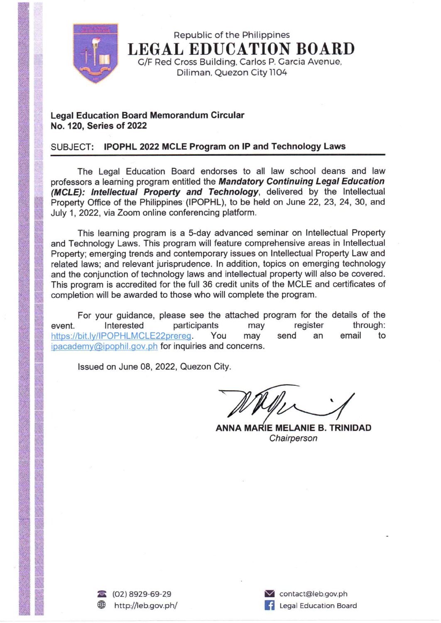

Republic of the Philippines **LEGAL EDUCATION BOARD** G/F Red Cross Building, Carlos P. Garcia Avenue, Diliman, Quezon City 1104

## **Legal Education Board Memorandum Circular** No. 120, Series of 2022

## SUBJECT: IPOPHL 2022 MCLE Program on IP and Technology Laws

The Legal Education Board endorses to all law school deans and law professors a learning program entitled the Mandatory Continuing Legal Education (MCLE): Intellectual Property and Technology, delivered by the Intellectual Property Office of the Philippines (IPOPHL), to be held on June 22, 23, 24, 30, and July 1, 2022, via Zoom online conferencing platform.

This learning program is a 5-day advanced seminar on Intellectual Property and Technology Laws. This program will feature comprehensive areas in Intellectual Property; emerging trends and contemporary issues on Intellectual Property Law and related laws; and relevant jurisprudence. In addition, topics on emerging technology and the conjunction of technology laws and intellectual property will also be covered. This program is accredited for the full 36 credit units of the MCLE and certificates of completion will be awarded to those who will complete the program.

For your guidance, please see the attached program for the details of the participants Interested may register through: event. send https://bit.ly/IPOPHLMCLE22prereg. You may email to an ipacademy@ipophil.gov.ph for inquiries and concerns.

Issued on June 08, 2022, Quezon City.

**ANNA MARIE MELANIE B. TRINIDAD** Chairperson

contact@leb.gov.ph Legal Education Board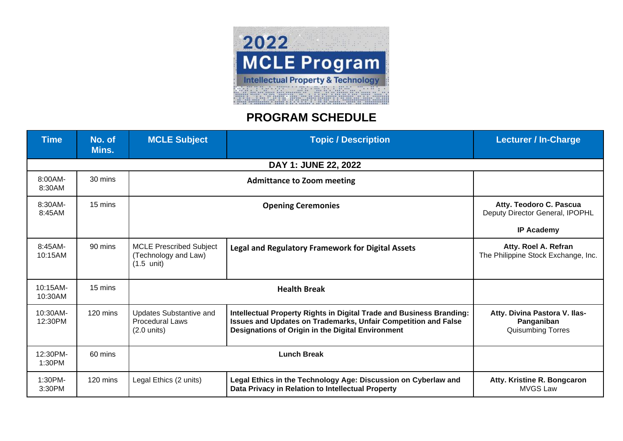

## **PROGRAM SCHEDULE**

| <b>Time</b>           | No. of<br>Mins.    | <b>MCLE Subject</b>                                                            | <b>Topic / Description</b>                                                                                                                                                                  | <b>Lecturer / In-Charge</b>                                                     |
|-----------------------|--------------------|--------------------------------------------------------------------------------|---------------------------------------------------------------------------------------------------------------------------------------------------------------------------------------------|---------------------------------------------------------------------------------|
|                       |                    |                                                                                | DAY 1: JUNE 22, 2022                                                                                                                                                                        |                                                                                 |
| 8:00AM-<br>8:30AM     | 30 mins            |                                                                                |                                                                                                                                                                                             |                                                                                 |
| 8:30AM-<br>8:45AM     | 15 mins            | <b>Opening Ceremonies</b>                                                      |                                                                                                                                                                                             | Atty. Teodoro C. Pascua<br>Deputy Director General, IPOPHL<br><b>IP Academy</b> |
| $8:45AM-$<br>10:15AM  | $90 \text{ mins}$  | <b>MCLE Prescribed Subject</b><br>(Technology and Law)<br>$(1.5 \text{ unit})$ | <b>Legal and Regulatory Framework for Digital Assets</b>                                                                                                                                    | Atty. Roel A. Refran<br>The Philippine Stock Exchange, Inc.                     |
| 10:15AM-<br>10:30AM   | 15 mins            | <b>Health Break</b>                                                            |                                                                                                                                                                                             |                                                                                 |
| $10:30AM-$<br>12:30PM | $120 \text{ mins}$ | Updates Substantive and<br><b>Procedural Laws</b><br>$(2.0 \text{ units})$     | Intellectual Property Rights in Digital Trade and Business Branding:<br>Issues and Updates on Trademarks, Unfair Competition and False<br>Designations of Origin in the Digital Environment | Atty. Divina Pastora V. Ilas-<br>Panganiban<br>Quisumbing Torres                |
| 12:30PM-<br>1:30PM    | 60 mins            | <b>Lunch Break</b>                                                             |                                                                                                                                                                                             |                                                                                 |
| 1:30PM-<br>3:30PM     | $120 \text{ mins}$ | Legal Ethics (2 units)                                                         | Legal Ethics in the Technology Age: Discussion on Cyberlaw and<br>Data Privacy in Relation to Intellectual Property                                                                         | Atty. Kristine R. Bongcaron<br><b>MVGS Law</b>                                  |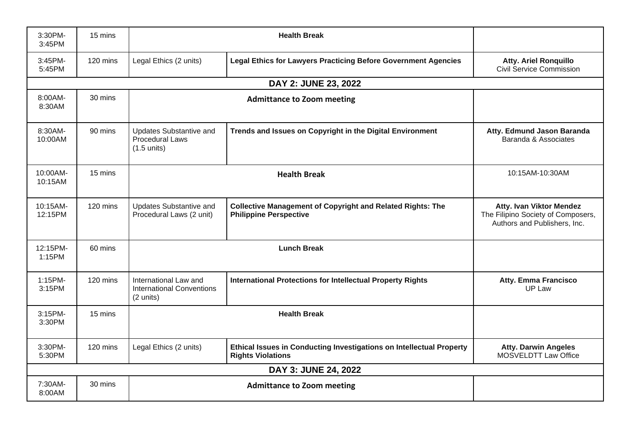| 3:30PM-<br>$3:45$ PM | 15 mins  | <b>Health Break</b>                                                        |                                                                                                    |                                                                                                       |
|----------------------|----------|----------------------------------------------------------------------------|----------------------------------------------------------------------------------------------------|-------------------------------------------------------------------------------------------------------|
| 3:45PM-<br>5:45PM    | 120 mins | Legal Ethics (2 units)                                                     | <b>Legal Ethics for Lawyers Practicing Before Government Agencies</b>                              | <b>Atty. Ariel Ronquillo</b><br>Civil Service Commission                                              |
|                      |          |                                                                            | DAY 2: JUNE 23, 2022                                                                               |                                                                                                       |
| 8:00AM-<br>8:30AM    | 30 mins  |                                                                            |                                                                                                    |                                                                                                       |
| 8:30AM-<br>10:00AM   | 90 mins  | <b>Updates Substantive and</b><br>Procedural Laws<br>$(1.5 \text{ units})$ | Trends and Issues on Copyright in the Digital Environment                                          | Atty. Edmund Jason Baranda<br>Baranda & Associates                                                    |
| 10:00AM-<br>10:15AM  | 15 mins  | <b>Health Break</b>                                                        |                                                                                                    | 10:15AM-10:30AM                                                                                       |
| 10:15AM-<br>12:15PM  | 120 mins | <b>Updates Substantive and</b><br>Procedural Laws (2 unit)                 | <b>Collective Management of Copyright and Related Rights: The</b><br><b>Philippine Perspective</b> | <b>Atty. Ivan Viktor Mendez</b><br>The Filipino Society of Composers,<br>Authors and Publishers, Inc. |
| 12:15PM-<br>1:15PM   | 60 mins  | <b>Lunch Break</b>                                                         |                                                                                                    |                                                                                                       |
| 1:15PM-<br>3:15PM    | 120 mins | International Law and<br><b>International Conventions</b><br>(2 units)     | <b>International Protections for Intellectual Property Rights</b>                                  | <b>Atty. Emma Francisco</b><br><b>UP Law</b>                                                          |
| 3:15PM-<br>3:30PM    | 15 mins  | <b>Health Break</b>                                                        |                                                                                                    |                                                                                                       |
| 3:30PM-<br>5:30PM    | 120 mins | Legal Ethics (2 units)                                                     | Ethical Issues in Conducting Investigations on Intellectual Property<br><b>Rights Violations</b>   | <b>Atty. Darwin Angeles</b><br>MOSVELDTT Law Office                                                   |
|                      |          |                                                                            | DAY 3: JUNE 24, 2022                                                                               |                                                                                                       |
| 7:30AM-<br>8:00AM    | 30 mins  |                                                                            | <b>Admittance to Zoom meeting</b>                                                                  |                                                                                                       |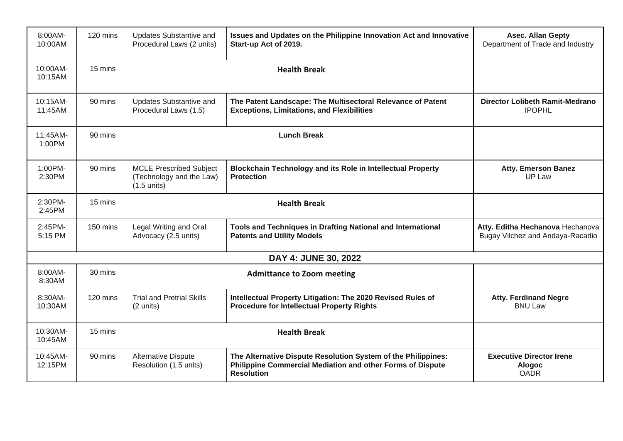| 8:00AM-<br>10:00AM   | 120 mins | Updates Substantive and<br>Procedural Laws (2 units)                                                                                               | Issues and Updates on the Philippine Innovation Act and Innovative<br>Start-up Act of 2019.                                                      | <b>Asec. Allan Gepty</b><br>Department of Trade and Industry         |  |
|----------------------|----------|----------------------------------------------------------------------------------------------------------------------------------------------------|--------------------------------------------------------------------------------------------------------------------------------------------------|----------------------------------------------------------------------|--|
| 10:00AM-<br>10:15AM  | 15 mins  | <b>Health Break</b>                                                                                                                                |                                                                                                                                                  |                                                                      |  |
| 10:15AM-<br>11:45AM  | 90 mins  | <b>Updates Substantive and</b><br>Procedural Laws (1.5)                                                                                            | The Patent Landscape: The Multisectoral Relevance of Patent<br><b>Exceptions, Limitations, and Flexibilities</b>                                 | <b>Director Lolibeth Ramit-Medrano</b><br><b>IPOPHL</b>              |  |
| 11:45AM-<br>1:00PM   | 90 mins  | <b>Lunch Break</b>                                                                                                                                 |                                                                                                                                                  |                                                                      |  |
| 1:00PM-<br>2:30PM    | 90 mins  | <b>MCLE Prescribed Subject</b><br>(Technology and the Law)<br>$(1.5$ units)                                                                        | <b>Blockchain Technology and its Role in Intellectual Property</b><br><b>Protection</b>                                                          | <b>Atty. Emerson Banez</b><br>UP Law                                 |  |
| 2:30PM-<br>2:45PM    | 15 mins  | <b>Health Break</b>                                                                                                                                |                                                                                                                                                  |                                                                      |  |
| 2:45PM-<br>5:15 PM   | 150 mins | Legal Writing and Oral<br>Tools and Techniques in Drafting National and International<br>Advocacy (2.5 units)<br><b>Patents and Utility Models</b> |                                                                                                                                                  | Atty. Editha Hechanova Hechanova<br>Bugay Vilchez and Andaya-Racadio |  |
| DAY 4: JUNE 30, 2022 |          |                                                                                                                                                    |                                                                                                                                                  |                                                                      |  |
| 8:00AM-<br>8:30AM    | 30 mins  | <b>Admittance to Zoom meeting</b>                                                                                                                  |                                                                                                                                                  |                                                                      |  |
| 8:30AM-<br>10:30AM   | 120 mins | <b>Trial and Pretrial Skills</b><br>(2 units)                                                                                                      | Intellectual Property Litigation: The 2020 Revised Rules of<br><b>Procedure for Intellectual Property Rights</b>                                 | <b>Atty. Ferdinand Negre</b><br><b>BNU Law</b>                       |  |
| 10:30AM-<br>10:45AM  | 15 mins  | <b>Health Break</b>                                                                                                                                |                                                                                                                                                  |                                                                      |  |
| 10:45AM-<br>12:15PM  | 90 mins  | <b>Alternative Dispute</b><br>Resolution (1.5 units)                                                                                               | The Alternative Dispute Resolution System of the Philippines:<br>Philippine Commercial Mediation and other Forms of Dispute<br><b>Resolution</b> | <b>Executive Director Irene</b><br><b>Alogoc</b><br><b>OADR</b>      |  |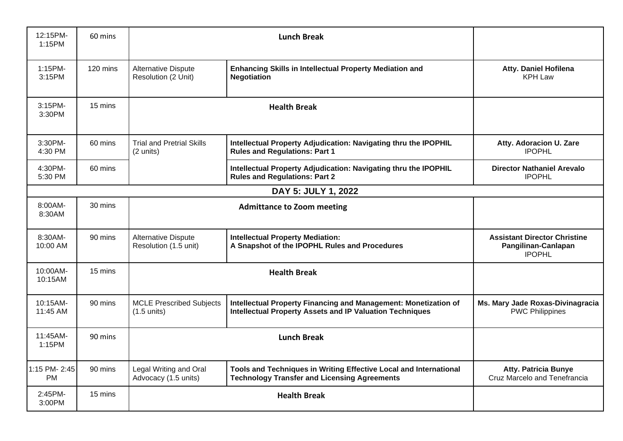| 12:15PM-<br>1:15PM        | 60 mins  | <b>Lunch Break</b>                                |                                                                                                                                    |                                                                             |  |
|---------------------------|----------|---------------------------------------------------|------------------------------------------------------------------------------------------------------------------------------------|-----------------------------------------------------------------------------|--|
| 1:15PM-<br>3:15PM         | 120 mins | <b>Alternative Dispute</b><br>Resolution (2 Unit) | <b>Enhancing Skills in Intellectual Property Mediation and</b><br><b>Negotiation</b>                                               | <b>Atty. Daniel Hofilena</b><br><b>KPH Law</b>                              |  |
| 3:15PM-<br>3:30PM         | 15 mins  | <b>Health Break</b>                               |                                                                                                                                    |                                                                             |  |
| 3:30PM-<br>4:30 PM        | 60 mins  | <b>Trial and Pretrial Skills</b><br>(2 units)     | Intellectual Property Adjudication: Navigating thru the IPOPHIL<br><b>Rules and Regulations: Part 1</b>                            | Atty. Adoracion U. Zare<br><b>IPOPHL</b>                                    |  |
| 4:30PM-<br>5:30 PM        | 60 mins  |                                                   | Intellectual Property Adjudication: Navigating thru the IPOPHIL<br><b>Rules and Regulations: Part 2</b>                            | <b>Director Nathaniel Arevalo</b><br><b>IPOPHL</b>                          |  |
| DAY 5: JULY 1, 2022       |          |                                                   |                                                                                                                                    |                                                                             |  |
| 8:00AM-<br>8:30AM         | 30 mins  |                                                   | <b>Admittance to Zoom meeting</b>                                                                                                  |                                                                             |  |
| 8:30AM-<br>10:00 AM       | 90 mins  | Alternative Dispute<br>Resolution (1.5 unit)      | <b>Intellectual Property Mediation:</b><br>A Snapshot of the IPOPHL Rules and Procedures                                           | <b>Assistant Director Christine</b><br>Pangilinan-Canlapan<br><b>IPOPHL</b> |  |
| 10:00AM-<br>10:15AM       | 15 mins  | <b>Health Break</b>                               |                                                                                                                                    |                                                                             |  |
| 10:15AM-<br>11:45 AM      | 90 mins  | <b>MCLE Prescribed Subjects</b><br>$(1.5$ units)  | Intellectual Property Financing and Management: Monetization of<br><b>Intellectual Property Assets and IP Valuation Techniques</b> | Ms. Mary Jade Roxas-Divinagracia<br><b>PWC Philippines</b>                  |  |
| 11:45AM-<br>1:15PM        | 90 mins  | <b>Lunch Break</b>                                |                                                                                                                                    |                                                                             |  |
| 1:15 PM-2:45<br><b>PM</b> | 90 mins  | Legal Writing and Oral<br>Advocacy (1.5 units)    | Tools and Techniques in Writing Effective Local and International<br><b>Technology Transfer and Licensing Agreements</b>           | <b>Atty. Patricia Bunye</b><br>Cruz Marcelo and Tenefrancia                 |  |
| 2:45PM-<br>3:00PM         | 15 mins  |                                                   | <b>Health Break</b>                                                                                                                |                                                                             |  |